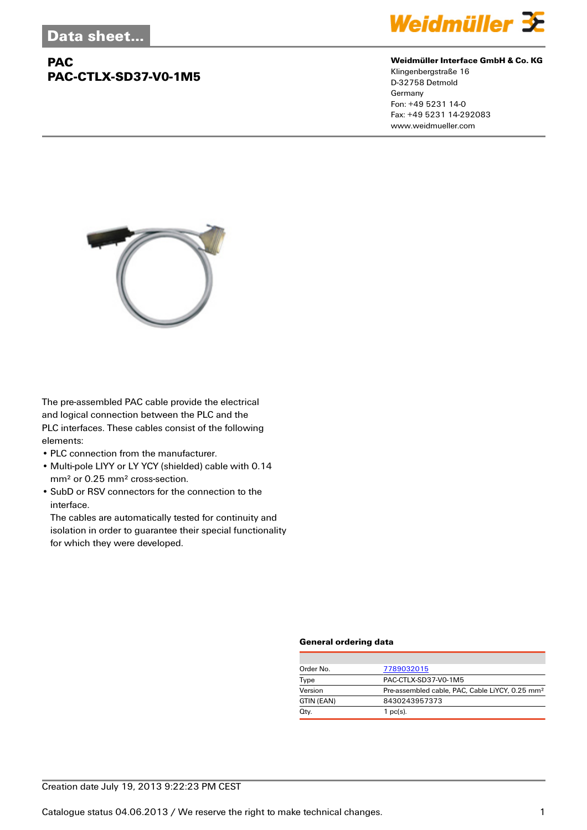## **PAC PAC-CTLX-SD37-V0-1M5**



#### **Weidmüller Interface GmbH & Co. KG**

Klingenbergstraße 16 D-32758 Detmold Germany Fon: +49 5231 14-0 Fax: +49 5231 14-292083 www.weidmueller.com



The pre-assembled PAC cable provide the electrical and logical connection between the PLC and the PLC interfaces. These cables consist of the following elements:

- PLC connection from the manufacturer.
- Multi-pole LIYY or LY YCY (shielded) cable with 0.14 mm² or 0.25 mm² cross-section.
- SubD or RSV connectors for the connection to the interface.

The cables are automatically tested for continuity and isolation in order to guarantee their special functionality for which they were developed.

#### **General ordering data**

| Order No.  | 7789032015                                                  |
|------------|-------------------------------------------------------------|
| Type       | PAC-CTLX-SD37-V0-1M5                                        |
| Version    | Pre-assembled cable, PAC, Cable LiYCY, 0.25 mm <sup>2</sup> |
| GTIN (EAN) | 8430243957373                                               |
| Qty.       | 1 $pc(s)$ .                                                 |